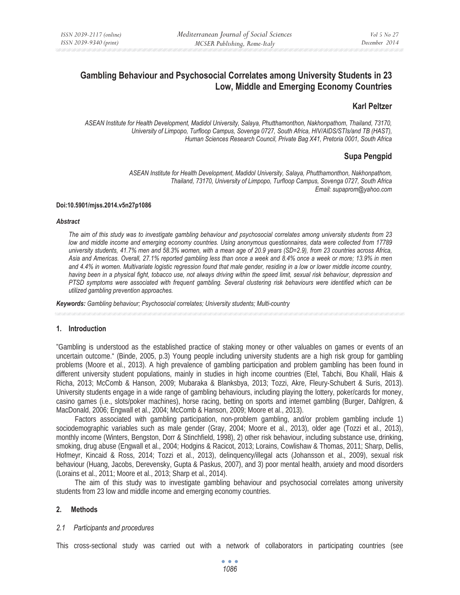# **Gambling Behaviour and Psychosocial Correlates among University Students in 23 Low, Middle and Emerging Economy Countries**

### **Karl Peltzer**

*ASEAN Institute for Health Development, Madidol University, Salaya, Phutthamonthon, Nakhonpathom, Thailand, 73170, University of Limpopo, Turfloop Campus, Sovenga 0727, South Africa, HIV/AIDS/STIs/and TB (HAST), Human Sciences Research Council, Private Bag X41, Pretoria 0001, South Africa* 

# **Supa Pengpid**

*ASEAN Institute for Health Development, Madidol University, Salaya, Phutthamonthon, Nakhonpathom, Thailand, 73170, University of Limpopo, Turfloop Campus, Sovenga 0727, South Africa Email: supaprom@yahoo.com* 

#### **Doi:10.5901/mjss.2014.v5n27p1086**

#### *Abstract*

*The aim of this study was to investigate gambling behaviour and psychosocial correlates among university students from 23 low and middle income and emerging economy countries. Using anonymous questionnaires, data were collected from 17789 university students, 41.7% men and 58.3% women, with a mean age of 20.9 years (SD=2.9), from 23 countries across Africa, Asia and Americas. Overall, 27.1% reported gambling less than once a week and 8.4% once a week or more; 13.9% in men and 4.4% in women. Multivariate logistic regression found that male gender, residing in a low or lower middle income country, having been in a physical fight, tobacco use, not always driving within the speed limit, sexual risk behaviour, depression and PTSD symptoms were associated with frequent gambling. Several clustering risk behaviours were identified which can be utilized gambling prevention approaches.* 

*Keywords: Gambling behaviour; Psychosocial correlates; University students; Multi-country*

# **1. Introduction**

"Gambling is understood as the established practice of staking money or other valuables on games or events of an uncertain outcome." (Binde, 2005, p.3) Young people including university students are a high risk group for gambling problems (Moore et al., 2013). A high prevalence of gambling participation and problem gambling has been found in different university student populations, mainly in studies in high income countries (Etel, Tabchi, Bou Khalil, Hlais & Richa, 2013; McComb & Hanson, 2009; Mubaraka & Blanksbya, 2013; Tozzi, Akre, Fleury-Schubert & Suris, 2013). University students engage in a wide range of gambling behaviours, including playing the lottery, poker/cards for money, casino games (i.e., slots/poker machines), horse racing, betting on sports and internet gambling (Burger, Dahlgren, & MacDonald, 2006; Engwall et al., 2004; McComb & Hanson, 2009; Moore et al., 2013).

Factors associated with gambling participation, non-problem gambling, and/or problem gambling include 1) sociodemographic variables such as male gender (Gray, 2004; Moore et al., 2013), older age (Tozzi et al., 2013), monthly income (Winters, Bengston, Dorr & Stinchfield, 1998), 2) other risk behaviour, including substance use, drinking, smoking, drug abuse (Engwall et al., 2004; Hodgins & Racicot, 2013; Lorains, Cowlishaw & Thomas, 2011; Sharp, Dellis, Hofmeyr, Kincaid & Ross, 2014; Tozzi et al., 2013), delinquency/illegal acts (Johansson et al., 2009), sexual risk behaviour (Huang, Jacobs, Derevensky, Gupta & Paskus, 2007), and 3) poor mental health, anxiety and mood disorders (Lorains et al., 2011; Moore et al., 2013; Sharp et al., 2014).

The aim of this study was to investigate gambling behaviour and psychosocial correlates among university students from 23 low and middle income and emerging economy countries.

#### **2. Methods**

#### *2.1 Participants and procedures*

This cross-sectional study was carried out with a network of collaborators in participating countries (see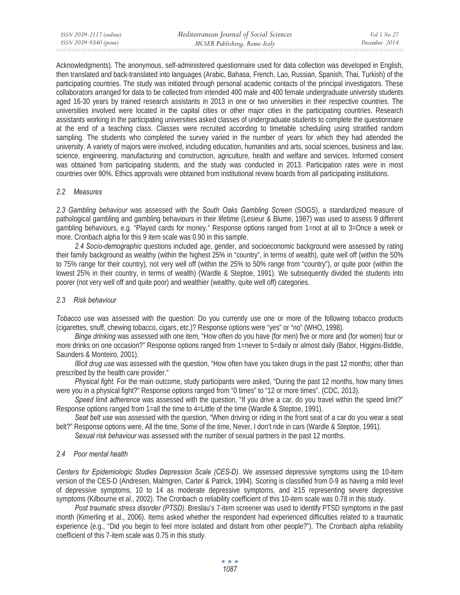Acknowledgments). The anonymous, self-administered questionnaire used for data collection was developed in English, then translated and back-translated into languages (Arabic, Bahasa, French, Lao, Russian, Spanish, Thai, Turkish) of the participating countries. The study was initiated through personal academic contacts of the principal investigators. These collaborators arranged for data to be collected from intended 400 male and 400 female undergraduate university students aged 16-30 years by trained research assistants in 2013 in one or two universities in their respective countries. The universities involved were located in the capital cities or other major cities in the participating countries. Research assistants working in the participating universities asked classes of undergraduate students to complete the questionnaire at the end of a teaching class. Classes were recruited according to timetable scheduling using stratified random sampling. The students who completed the survey varied in the number of years for which they had attended the university. A variety of majors were involved, including education, humanities and arts, social sciences, business and law, science, engineering, manufacturing and construction, agriculture, health and welfare and services. Informed consent was obtained from participating students, and the study was conducted in 2013. Participation rates were in most countries over 90%. Ethics approvals were obtained from institutional review boards from all participating institutions.

# *2.2 Measures*

*2.3 Gambling behaviour* was assessed with the *South Oaks Gambling Screen* (SOGS), a standardized measure of pathological gambling and gambling behaviours in their lifetime (Lesieur & Blume, 1987) was used to assess 9 different gambling behaviours, e.g. "Played cards for money." Response options ranged from 1=not at all to 3=Once a week or more. Cronbach alpha for this 9 item scale was 0.90 in this sample.

*2.4 Socio-demographic* questions included age, gender, and socioeconomic background were assessed by rating their family background as wealthy (within the highest 25% in "country", in terms of wealth), quite well off (within the 50% to 75% range for their country), not very well off (within the 25% to 50% range from "country"), or quite poor (within the lowest 25% in their country, in terms of wealth) (Wardle & Steptoe, 1991). We subsequently divided the students into poorer (not very well off and quite poor) and wealthier (wealthy, quite well off) categories.

# *2.3 Risk behaviour*

*Tobacco use* was assessed with the question: Do you currently use one or more of the following tobacco products (cigarettes, snuff, chewing tobacco, cigars, etc.)? Response options were "yes" or "no" (WHO, 1998).

*Binge drinking* was assessed with one item, "How often do you have (for men) five or more and (for women) four or more drinks on one occasion?" Response options ranged from 1=never to 5=daily or almost daily (Babor, Higgins-Biddle, Saunders & Monteiro, 2001).

*Illicit drug use* was assessed with the question, "How often have you taken drugs in the past 12 months; other than prescribed by the health care provider."

*Physical fight.* For the main outcome, study participants were asked, "During the past 12 months, how many times were you in a physical fight?" Response options ranged from "0 times" to "12 or more times". (CDC, 2013).

*Speed limit adherence* was assessed with the question, "If you drive a car, do you travel within the speed limit?" Response options ranged from 1=all the time to 4=Little of the time (Wardle & Steptoe, 1991).

*Seat belt use* was assessed with the question, "When driving or riding in the front seat of a car do you wear a seat belt?" Response options were, All the time, Some of the time, Never, I don't ride in cars (Wardle & Steptoe, 1991).

*Sexual risk behaviour* was assessed with the number of sexual partners in the past 12 months.

# *2.4 Poor mental health*

*Centers for Epidemiologic Studies Depression Scale (CES-D).* We assessed depressive symptoms using the 10-item version of the CES-D (Andresen, Malmgren, Carter & Patrick, 1994). Scoring is classified from 0-9 as having a mild level of depressive symptoms, 10 to 14 as moderate depressive symptoms, and  $\geq 15$  representing severe depressive symptoms (Kilbourne et al., 2002). The Cronbach a reliability coefficient of this 10-item scale was 0.78 in this study.

*Post traumatic stress disorder (PTSD).* Breslau's 7-item screener was used to identify PTSD symptoms in the past month (Kimerling et al., 2006). Items asked whether the respondent had experienced difficulties related to a traumatic experience (e.g., "Did you begin to feel more isolated and distant from other people?"). The Cronbach alpha reliability coefficient of this 7-item scale was 0.75 in this study.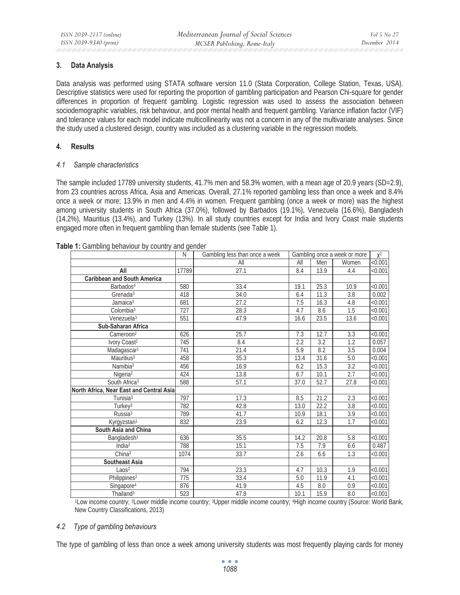# **3. Data Analysis**

Data analysis was performed using STATA software version 11.0 (Stata Corporation, College Station, Texas, USA). Descriptive statistics were used for reporting the proportion of gambling participation and Pearson Chi-square for gender differences in proportion of frequent gambling. Logistic regression was used to assess the association between sociodemographic variables, risk behaviour, and poor mental health and frequent gambling. Variance inflation factor (VIF) and tolerance values for each model indicate multicollinearity was not a concern in any of the multivariate analyses. Since the study used a clustered design, country was included as a clustering variable in the regression models.

# **4. Results**

# *4.1 Sample characteristics*

The sample included 17789 university students, 41.7% men and 58.3% women, with a mean age of 20.9 years (SD=2.9), from 23 countries across Africa, Asia and Americas. Overall, 27.1% reported gambling less than once a week and 8.4% once a week or more; 13.9% in men and 4.4% in women. Frequent gambling (once a week or more) was the highest among university students in South Africa (37.0%), followed by Barbados (19.1%), Venezuela (16.6%), Bangladesh (14.2%), Mauritius (13.4%), and Turkey (13%). In all study countries except for India and Ivory Coast male students engaged more often in frequent gambling than female students (see Table 1).

|                                          | N     | Gambling less than once a week | Gambling once a week or more |                  | $X^2$            |         |
|------------------------------------------|-------|--------------------------------|------------------------------|------------------|------------------|---------|
|                                          |       | All                            | All                          | Men              | Women            | < 0.001 |
| All                                      | 17789 | 27.1                           | 8.4                          | 13.9             | 4.4              | < 0.001 |
| <b>Caribbean and South America</b>       |       |                                |                              |                  |                  |         |
| Barbados <sup>4</sup>                    | 580   | 33.4                           | 19.1                         | 25.3             | 10.9             | < 0.001 |
| Grenada <sup>3</sup>                     | 418   | 34.0                           | 6.4                          | 11.3             | 3.8              | 0.002   |
| Jamaica <sup>3</sup>                     | 681   | 27.2                           | 7.5                          | 16.3             | 4.8              | < 0.001 |
| Colombia <sup>3</sup>                    | 727   | 28.3                           | 4.7                          | 8.6              | 1.5              | < 0.001 |
| Venezuela <sup>3</sup>                   | 551   | 47.9                           | 16.6                         | 23.5             | 13.6             | < 0.001 |
| Sub-Saharan Africa                       |       |                                |                              |                  |                  |         |
| Cameroon <sup>2</sup>                    | 626   | 25.7                           | 7.3                          | 12.7             | 3.3              | < 0.001 |
| Ivory Coast <sup>2</sup>                 | 745   | 8.4                            | 2.2                          | $\overline{3.2}$ | 1.2              | 0.057   |
| Madagascar <sup>1</sup>                  | 741   | 21.4                           | 5.9                          | 8.2              | 3.5              | 0.004   |
| Mauritius <sup>3</sup>                   | 458   | 35.3                           | 13.4                         | 31.6             | 5.0              | < 0.001 |
| Namibia <sup>3</sup>                     | 456   | 16.9                           | 6.2                          | 15.3             | 3.2              | < 0.001 |
| Nigeria <sup>2</sup>                     | 424   | 13.8                           | 6.7                          | 10.1             | $\overline{2.7}$ | < 0.001 |
| South Africa <sup>3</sup>                | 588   | 57.1                           | 37.0                         | 52.7             | 27.8             | < 0.001 |
| North Africa, Near East and Central Asia |       |                                |                              |                  |                  |         |
| Tunisia <sup>3</sup>                     | 797   | 17.3                           | 8.5                          | 21.2             | 2.3              | < 0.001 |
| Turkey <sup>3</sup>                      | 782   | 42.8                           | 13.0                         | 22.2             | 3.8              | < 0.001 |
| Russia <sup>3</sup>                      | 789   | 41.7                           | 10.9                         | 18.1             | $\overline{3.9}$ | < 0.001 |
| Kyrgyzstan <sup>1</sup>                  | 832   | 23.9                           | 6.2                          | 12.3             | 1.7              | < 0.001 |
| South Asia and China                     |       |                                |                              |                  |                  |         |
| Bangladesh <sup>1</sup>                  | 636   | 35.5                           | 14.2                         | 20.8             | 5.8              | < 0.001 |
| India <sup>2</sup>                       | 788   | 15.1                           | 7.5                          | 7.9              | 6.6              | 0.487   |
| China <sup>3</sup>                       | 1074  | 33.7                           | 2.6                          | 6.6              | 1.3              | < 0.001 |
| <b>Southeast Asia</b>                    |       |                                |                              |                  |                  |         |
| Laos <sup>2</sup>                        | 794   | 23.3                           | 4.7                          | 10.3             | 1.9              | < 0.001 |
| Philippines <sup>2</sup>                 | 775   | 33.4                           | $\overline{5.0}$             | 11.9             | 4.1              | < 0.001 |
| Singapore <sup>4</sup>                   | 876   | 41.9                           | 4.5                          | 8.0              | 0.9              | < 0.001 |
| Thailand <sup>3</sup>                    | 523   | 47.8                           | 10.1                         | 15.9             | 8.0              | < 0.001 |

### **Table 1:** Gambling behaviour by country and gender

1Low income country; 2Lower middle income country; 3Upper middle income country; 4High income country (Source: World Bank, New Country Classifications, 2013)

# *4.2 Type of gambling behaviours*

The type of gambling of less than once a week among university students was most frequently playing cards for money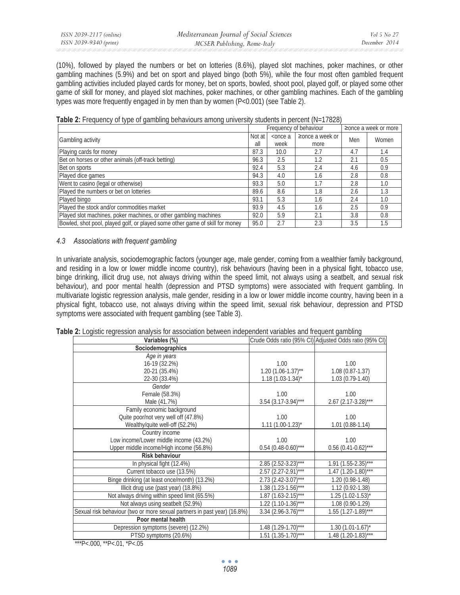(10%), followed by played the numbers or bet on lotteries (8.6%), played slot machines, poker machines, or other gambling machines (5.9%) and bet on sport and played bingo (both 5%), while the four most often gambled frequent gambling activities included played cards for money, bet on sports, bowled, shoot pool, played golf, or played some other game of skill for money, and played slot machines, poker machines, or other gambling machines. Each of the gambling types was more frequently engaged in by men than by women (P<0.001) (see Table 2).

|  |  | Table 2: Frequency of type of gambling behaviours among university students in percent (N=17828) |  |  |  |
|--|--|--------------------------------------------------------------------------------------------------|--|--|--|
|--|--|--------------------------------------------------------------------------------------------------|--|--|--|

|                                                                              | Frequency of behaviour |                    |                               | $\geq$ once a week or more |       |
|------------------------------------------------------------------------------|------------------------|--------------------|-------------------------------|----------------------------|-------|
| Gambling activity                                                            | Not at<br>all          | $<$ once a<br>week | $\geq$ once a week or<br>more | Men                        | Women |
| Playing cards for money                                                      | 87.3                   | 10.0               | 2.7                           | 4.7                        | 1.4   |
| Bet on horses or other animals (off-track betting)                           | 96.3                   | 2.5                | 1.2                           | 2.1                        | 0.5   |
| Bet on sports                                                                | 92.4                   | 5.3                | 2.4                           | 4.6                        | 0.9   |
| Played dice games                                                            | 94.3                   | 4.0                | 1.6                           | 2.8                        | 0.8   |
| Went to casino (legal or otherwise)                                          | 93.3                   | 5.0                |                               | 2.8                        | 1.0   |
| Played the numbers or bet on lotteries                                       | 89.6                   | 8.6                | 1.8                           | 2.6                        | 1.3   |
| Played bingo                                                                 | 93.1                   | 5.3                | 1.6                           | 2.4                        | 1.0   |
| Played the stock and/or commodities market                                   | 93.9                   | 4.5                | 1.6                           | 2.5                        | 0.9   |
| Played slot machines, poker machines, or other gambling machines             | 92.0                   | 5.9                | 2.1                           | 3.8                        | 0.8   |
| Bowled, shot pool, played golf, or played some other game of skill for money | 95.0                   | 2.7                | 2.3                           | 3.5                        | 1.5   |

# *4.3 Associations with frequent gambling*

In univariate analysis, sociodemographic factors (younger age, male gender, coming from a wealthier family background, and residing in a low or lower middle income country), risk behaviours (having been in a physical fight, tobacco use, binge drinking, illicit drug use, not always driving within the speed limit, not always using a seatbelt, and sexual risk behaviour), and poor mental health (depression and PTSD symptoms) were associated with frequent gambling. In multivariate logistic regression analysis, male gender, residing in a low or lower middle income country, having been in a physical fight, tobacco use, not always driving within the speed limit, sexual risk behaviour, depression and PTSD symptoms were associated with frequent gambling (see Table 3).

| Variables (%)                                                            |                                   | Crude Odds ratio (95% CI) Adjusted Odds ratio (95% CI) |
|--------------------------------------------------------------------------|-----------------------------------|--------------------------------------------------------|
| Sociodemographics                                                        |                                   |                                                        |
| Age in years                                                             |                                   |                                                        |
| 16-19 (32.2%)                                                            | 1.00                              | 1.00                                                   |
| 20-21 (35.4%)                                                            | $1.20(1.06-1.37)$ **              | $1.08(0.87-1.37)$                                      |
| 22-30 (33.4%)                                                            | $1.18(1.03-1.34)^{*}$             | $1.03(0.79-1.40)$                                      |
| Gender                                                                   |                                   |                                                        |
| Female (58.3%)                                                           | 1.00                              | 1.00                                                   |
| Male (41.7%)                                                             | $3.54$ (3.17-3.94)***             | $2.67$ (2.17-3.28)***                                  |
| Family economic background                                               |                                   |                                                        |
| Quite poor/not very well off (47.8%)                                     | 1.00                              | 1.00                                                   |
| Wealthy/quite well-off (52.2%)                                           | $1.11 (1.00 - 1.23)^{*}$          | $1.01(0.88-1.14)$                                      |
| Country income                                                           |                                   |                                                        |
| Low income/Lower middle income (43.2%)                                   | 1.00                              | 1.00                                                   |
| Upper middle income/High income (56.8%)                                  | $0.54$ (0.48-0.60)***             | $0.56$ (0.41-0.62)***                                  |
| <b>Risk behaviour</b>                                                    |                                   |                                                        |
| In physical fight (12.4%)                                                | $2.85$ (2.52-3.23) <sup>***</sup> | $1.91(1.55-2.35)$ ***                                  |
| Current tobacco use (13.5%)                                              | $2.57$ (2.27-2.91)***             | $1.47$ (1.20-1.80)***                                  |
| Binge drinking (at least once/month) (13.2%)                             | $2.73$ (2.42-3.07) <sup>***</sup> | $1.20(0.98-1.48)$                                      |
| Illicit drug use (past year) (18.8%)                                     | $1.38(1.23-1.56)***$              | 1.12 (0.92-1.38)                                       |
| Not always driving within speed limit (65.5%)                            | $1.87$ (1.63-2.15)***             | $1.25(1.02 - 1.53)^{*}$                                |
| Not always using seatbelt (52.9%)                                        | $1.22$ (1.10-1.36)***             | $1.08(0.90-1.29)$                                      |
| Sexual risk behaviour (two or more sexual partners in past year) (16.8%) | $3.34$ (2.96-3.76)***             | $1.55(1.27-1.89)***$                                   |
| Poor mental health                                                       |                                   |                                                        |
| Depression symptoms (severe) (12.2%)                                     | $1.48$ (1.29-1.70)***             | $1.30(1.01-1.67)^{*}$                                  |
| PTSD symptoms (20.6%)                                                    | $1.51$ $(1.35-1.70)$ ***          | $1.48$ (1.20-1.83)***                                  |

**Table 2:** Logistic regression analysis for association between independent variables and frequent gambling

\*\*\*P<.000, \*\*P<.01, \*P<.05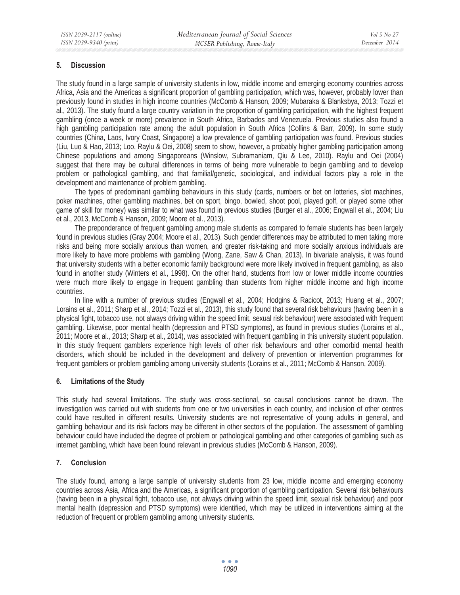### **5. Discussion**

The study found in a large sample of university students in low, middle income and emerging economy countries across Africa, Asia and the Americas a significant proportion of gambling participation, which was, however, probably lower than previously found in studies in high income countries (McComb & Hanson, 2009; Mubaraka & Blanksbya, 2013; Tozzi et al., 2013). The study found a large country variation in the proportion of gambling participation, with the highest frequent gambling (once a week or more) prevalence in South Africa, Barbados and Venezuela. Previous studies also found a high gambling participation rate among the adult population in South Africa (Collins & Barr, 2009). In some study countries (China, Laos, Ivory Coast, Singapore) a low prevalence of gambling participation was found. Previous studies (Liu, Luo & Hao, 2013; Loo, Raylu & Oei, 2008) seem to show, however, a probably higher gambling participation among Chinese populations and among Singaporeans (Winslow, Subramaniam, Qiu & Lee, 2010). Raylu and Oei (2004) suggest that there may be cultural differences in terms of being more vulnerable to begin gambling and to develop problem or pathological gambling, and that familial/genetic, sociological, and individual factors play a role in the development and maintenance of problem gambling.

The types of predominant gambling behaviours in this study (cards, numbers or bet on lotteries, slot machines, poker machines, other gambling machines, bet on sport, bingo, bowled, shoot pool, played golf, or played some other game of skill for money) was similar to what was found in previous studies (Burger et al., 2006; Engwall et al., 2004; Liu et al., 2013, McComb & Hanson, 2009; Moore et al., 2013).

The preponderance of frequent gambling among male students as compared to female students has been largely found in previous studies (Gray 2004; Moore et al., 2013). Such gender differences may be attributed to men taking more risks and being more socially anxious than women, and greater risk-taking and more socially anxious individuals are more likely to have more problems with gambling (Wong, Zane, Saw & Chan, 2013). In bivariate analysis, it was found that university students with a better economic family background were more likely involved in frequent gambling, as also found in another study (Winters et al., 1998). On the other hand, students from low or lower middle income countries were much more likely to engage in frequent gambling than students from higher middle income and high income countries.

In line with a number of previous studies (Engwall et al., 2004; Hodgins & Racicot, 2013; Huang et al., 2007; Lorains et al., 2011; Sharp et al., 2014; Tozzi et al., 2013), this study found that several risk behaviours (having been in a physical fight, tobacco use, not always driving within the speed limit, sexual risk behaviour) were associated with frequent gambling. Likewise, poor mental health (depression and PTSD symptoms), as found in previous studies (Lorains et al., 2011; Moore et al., 2013; Sharp et al., 2014), was associated with frequent gambling in this university student population. In this study frequent gamblers experience high levels of other risk behaviours and other comorbid mental health disorders, which should be included in the development and delivery of prevention or intervention programmes for frequent gamblers or problem gambling among university students (Lorains et al., 2011; McComb & Hanson, 2009).

# **6. Limitations of the Study**

This study had several limitations. The study was cross-sectional, so causal conclusions cannot be drawn. The investigation was carried out with students from one or two universities in each country, and inclusion of other centres could have resulted in different results. University students are not representative of young adults in general, and gambling behaviour and its risk factors may be different in other sectors of the population. The assessment of gambling behaviour could have included the degree of problem or pathological gambling and other categories of gambling such as internet gambling, which have been found relevant in previous studies (McComb & Hanson, 2009).

# **7. Conclusion**

The study found, among a large sample of university students from 23 low, middle income and emerging economy countries across Asia, Africa and the Americas, a significant proportion of gambling participation. Several risk behaviours (having been in a physical fight, tobacco use, not always driving within the speed limit, sexual risk behaviour) and poor mental health (depression and PTSD symptoms) were identified, which may be utilized in interventions aiming at the reduction of frequent or problem gambling among university students.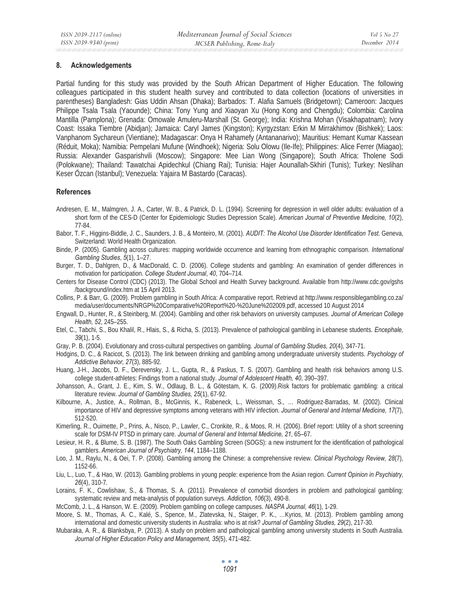### **8. Acknowledgements**

Partial funding for this study was provided by the South African Department of Higher Education. The following colleagues participated in this student health survey and contributed to data collection (locations of universities in parentheses) Bangladesh: Gias Uddin Ahsan (Dhaka); Barbados: T. Alafia Samuels (Bridgetown); Cameroon: Jacques Philippe Tsala Tsala (Yaounde); China: Tony Yung and Xiaoyan Xu (Hong Kong and Chengdu); Colombia: Carolina Mantilla (Pamplona); Grenada: Omowale Amuleru-Marshall (St. George); India: Krishna Mohan (Visakhapatnam); Ivory Coast: Issaka Tiembre (Abidjan); Jamaica: Caryl James (Kingston); Kyrgyzstan: Erkin M Mirrakhimov (Bishkek); Laos: Vanphanom Sychareun (Vientiane); Madagascar: Onya H Rahamefy (Antananarivo); Mauritius: Hemant Kumar Kassean (Réduit, Moka); Namibia: Pempelani Mufune (Windhoek); Nigeria: Solu Olowu (Ile-Ife); Philippines: Alice Ferrer (Miagao); Russia: Alexander Gasparishvili (Moscow); Singapore: Mee Lian Wong (Singapore); South Africa: Tholene Sodi (Polokwane); Thailand: Tawatchai Apidechkul (Chiang Rai); Tunisia: Hajer Aounallah-Skhiri (Tunis); Turkey: Neslihan Keser Özcan (Istanbul); Venezuela: Yajaira M Bastardo (Caracas).

### **References**

- Andresen, E. M., Malmgren, J. A., Carter, W. B., & Patrick, D. L. (1994). Screening for depression in well older adults: evaluation of a short form of the CES-D (Center for Epidemiologic Studies Depression Scale). *American Journal of Preventive Medicine, 10*(2), 77-84.
- Babor, T. F., Higgins-Biddle, J. C., Saunders, J. B., & Monteiro, M. (2001). *AUDIT: The Alcohol Use Disorder Identification Test*. Geneva, Switzerland: World Health Organization.
- Binde, P. (2005). Gambling across cultures: mapping worldwide occurrence and learning from ethnographic comparison. *International Gambling Studies*, *5*(1), 1–27.
- Burger, T. D., Dahlgren, D., & MacDonald, C. D. (2006). College students and gambling: An examination of gender differences in motivation for participation. *College Student Journal*, *40*, 704–714.
- Centers for Disease Control (CDC) (2013). The Global School and Health Survey background. Available from http://www.cdc.gov/gshs /background/index.htm at 15 April 2013.
- Collins, P. & Barr, G. (2009). Problem gambling in South Africa: A comparative report. Retrievd at http://www.responsiblegambling.co.za/ media/user/documents/NRGP%20Comparative%20Report%20-%20June%202009.pdf, accessed 10 August 2014
- Engwall, D., Hunter, R., & Steinberg, M. (2004). Gambling and other risk behaviors on university campuses. *Journal of American College Health, 52*, 245–255.
- Etel, C., Tabchi, S., Bou Khalil, R., Hlais, S., & Richa, S. (2013). Prevalence of pathological gambling in Lebanese students. *Encephale, 39*(1), 1-5.
- Gray, P. B. (2004). Evolutionary and cross-cultural perspectives on gambling. *Journal of Gambling Studies, 20*(4), 347-71.
- Hodgins, D. C., & Racicot, S. (2013). The link between drinking and gambling among undergraduate university students. *Psychology of Addictive Behavior, 27*(3), 885-92.
- Huang, J-H., Jacobs, D. F., Derevensky, J. L., Gupta, R., & Paskus, T. S. (2007). Gambling and health risk behaviors among U.S. college student-athletes: Findings from a national study. *Journal of Adolescent Health, 40*, 390–397.
- Johansson, A., Grant, J. E., Kim, S. W., Odlaug, B. L., & Götestam, K. G. (2009).Risk factors for problematic gambling: a critical literature review. *Journal of Gambling Studies, 25*(1), 67-92.
- Kilbourne, A., Justice, A., Rollman, B., McGinnis, K., Rabeneck, L., Weissman, S., … Rodriguez-Barradas, M. (2002). Clinical importance of HIV and depressive symptoms among veterans with HIV infection. *Journal of General and Internal Medicine, 17*(7), 512-520.
- Kimerling, R., Ouimette, P., Prins, A., Nisco, P., Lawler, C., Cronkite, R., & Moos, R. H. (2006). Brief report: Utility of a short screening scale for DSM-IV PTSD in primary care. *Journal of General and Internal Medicine, 21*, 65–67.
- Lesieur, H. R., & Blume, S. B. (1987). The South Oaks Gambling Screen (SOGS): a new instrument for the identification of pathological gamblers. *American Journal of Psychiatry, 144*, 1184–1188.
- Loo, J. M., Raylu, N., & Oei, T. P. (2008). Gambling among the Chinese: a comprehensive review. *Clinical Psychology Review, 28*(7), 1152-66.
- Liu, L., Luo, T., & Hao, W. (2013). Gambling problems in young people: experience from the Asian region. *Current Opinion in Psychiatry, 26*(4), 310-7.
- Lorains, F. K., Cowlishaw, S., & Thomas, S. A. (2011). Prevalence of comorbid disorders in problem and pathological gambling: systematic review and meta-analysis of population surveys. *Addiction, 106*(3), 490-8.
- McComb, J. L., & Hanson, W. E. (2009). Problem gambling on college campuses. *NASPA Journal, 46*(1), 1-29.
- Moore, S. M., Thomas, A. C., Kalé, S., Spence, M., Zlatevska, N., Staiger, P. K., …Kyrios, M. (2013). Problem gambling among international and domestic university students in Australia: who is at risk? *Journal of Gambling Studies, 29*(2), 217-30.
- Mubaraka, A. R., & Blanksbya, P. (2013). A study on problem and pathological gambling among university students in South Australia. *Journal of Higher Education Policy and Management, 35*(5), 471-482.